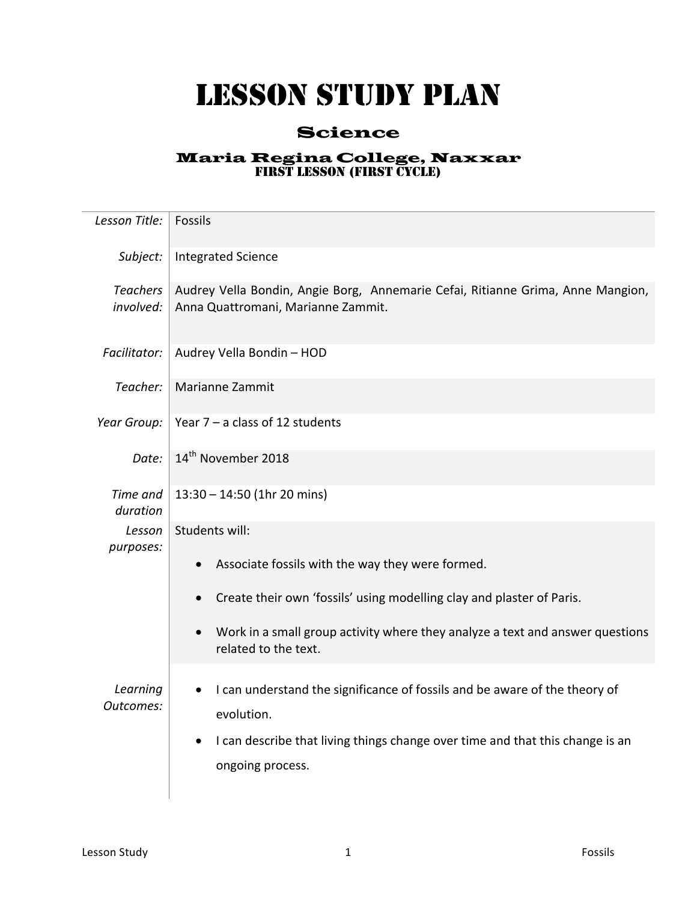## LESSON STUDY PLAN

## Science

## Maria Regina College, Naxxar FIRST LESSON (FIRST CYCLE)

| Lesson Title:                | Fossils                                                                                                               |
|------------------------------|-----------------------------------------------------------------------------------------------------------------------|
|                              |                                                                                                                       |
| Subject:                     | <b>Integrated Science</b>                                                                                             |
| <b>Teachers</b><br>involved: | Audrey Vella Bondin, Angie Borg, Annemarie Cefai, Ritianne Grima, Anne Mangion,<br>Anna Quattromani, Marianne Zammit. |
| Facilitator:                 | Audrey Vella Bondin - HOD                                                                                             |
| Teacher:                     | Marianne Zammit                                                                                                       |
| Year Group:                  | Year $7 - a$ class of 12 students                                                                                     |
| Date:                        | 14 <sup>th</sup> November 2018                                                                                        |
| Time and<br>duration         | 13:30 - 14:50 (1hr 20 mins)                                                                                           |
| Lesson<br>purposes:          | Students will:                                                                                                        |
|                              | Associate fossils with the way they were formed.                                                                      |
|                              | Create their own 'fossils' using modelling clay and plaster of Paris.                                                 |
|                              | Work in a small group activity where they analyze a text and answer questions<br>related to the text.                 |
| Learning<br>Outcomes:        | I can understand the significance of fossils and be aware of the theory of<br>evolution.                              |
|                              | I can describe that living things change over time and that this change is an<br>ongoing process.                     |
|                              |                                                                                                                       |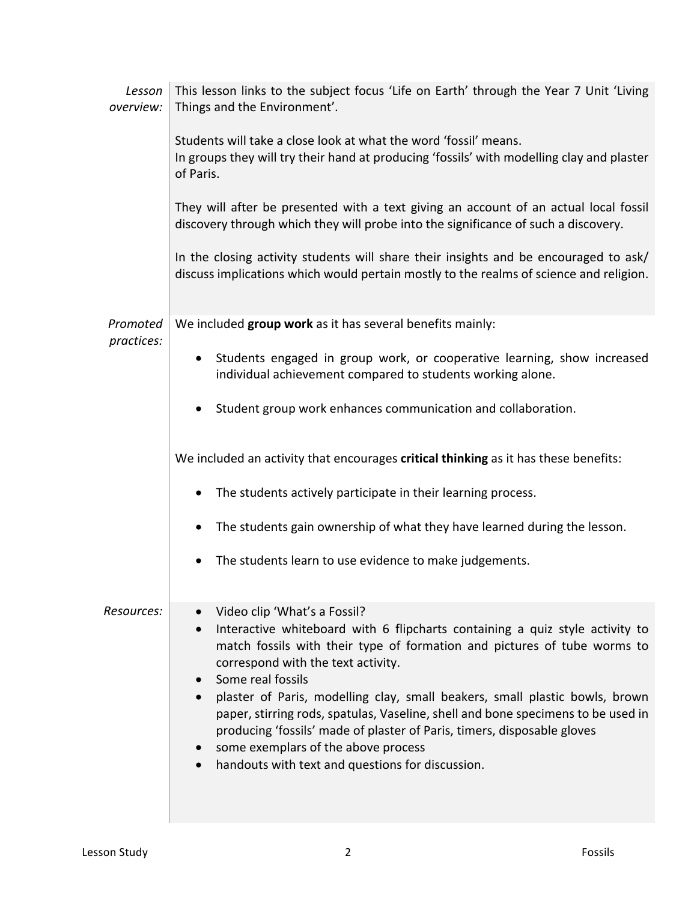| This lesson links to the subject focus 'Life on Earth' through the Year 7 Unit 'Living<br>Lesson<br>Things and the Environment'.                                                                                                                                                                                                                                                                                                                                                                                                                                                             |
|----------------------------------------------------------------------------------------------------------------------------------------------------------------------------------------------------------------------------------------------------------------------------------------------------------------------------------------------------------------------------------------------------------------------------------------------------------------------------------------------------------------------------------------------------------------------------------------------|
| Students will take a close look at what the word 'fossil' means.<br>In groups they will try their hand at producing 'fossils' with modelling clay and plaster<br>of Paris.                                                                                                                                                                                                                                                                                                                                                                                                                   |
| They will after be presented with a text giving an account of an actual local fossil<br>discovery through which they will probe into the significance of such a discovery.                                                                                                                                                                                                                                                                                                                                                                                                                   |
| In the closing activity students will share their insights and be encouraged to ask/<br>discuss implications which would pertain mostly to the realms of science and religion.                                                                                                                                                                                                                                                                                                                                                                                                               |
| We included group work as it has several benefits mainly:                                                                                                                                                                                                                                                                                                                                                                                                                                                                                                                                    |
| • Students engaged in group work, or cooperative learning, show increased<br>individual achievement compared to students working alone.                                                                                                                                                                                                                                                                                                                                                                                                                                                      |
| Student group work enhances communication and collaboration.                                                                                                                                                                                                                                                                                                                                                                                                                                                                                                                                 |
| We included an activity that encourages critical thinking as it has these benefits:                                                                                                                                                                                                                                                                                                                                                                                                                                                                                                          |
| The students actively participate in their learning process.                                                                                                                                                                                                                                                                                                                                                                                                                                                                                                                                 |
| The students gain ownership of what they have learned during the lesson.                                                                                                                                                                                                                                                                                                                                                                                                                                                                                                                     |
| The students learn to use evidence to make judgements.<br>٠                                                                                                                                                                                                                                                                                                                                                                                                                                                                                                                                  |
| Video clip 'What's a Fossil?<br>Interactive whiteboard with 6 flipcharts containing a quiz style activity to<br>match fossils with their type of formation and pictures of tube worms to<br>correspond with the text activity.<br>Some real fossils<br>plaster of Paris, modelling clay, small beakers, small plastic bowls, brown<br>paper, stirring rods, spatulas, Vaseline, shell and bone specimens to be used in<br>producing 'fossils' made of plaster of Paris, timers, disposable gloves<br>some exemplars of the above process<br>handouts with text and questions for discussion. |
|                                                                                                                                                                                                                                                                                                                                                                                                                                                                                                                                                                                              |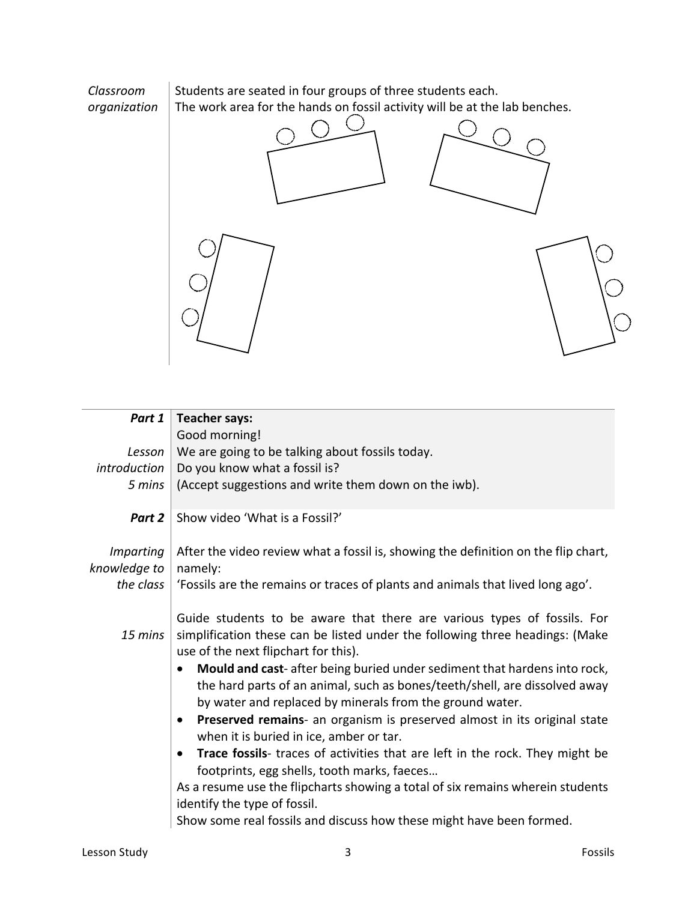

| Part 1                           | <b>Teacher says:</b>                                                                                                                                                                                                            |
|----------------------------------|---------------------------------------------------------------------------------------------------------------------------------------------------------------------------------------------------------------------------------|
|                                  | Good morning!                                                                                                                                                                                                                   |
| Lesson                           | We are going to be talking about fossils today.                                                                                                                                                                                 |
| introduction                     | Do you know what a fossil is?                                                                                                                                                                                                   |
| 5 mins                           | (Accept suggestions and write them down on the iwb).                                                                                                                                                                            |
| Part 2                           | Show video 'What is a Fossil?'                                                                                                                                                                                                  |
| <b>Imparting</b><br>knowledge to | After the video review what a fossil is, showing the definition on the flip chart,<br>namely:                                                                                                                                   |
| the class                        | 'Fossils are the remains or traces of plants and animals that lived long ago'.                                                                                                                                                  |
| 15 mins                          | Guide students to be aware that there are various types of fossils. For<br>simplification these can be listed under the following three headings: (Make<br>use of the next flipchart for this).                                 |
|                                  | Mould and cast-after being buried under sediment that hardens into rock,<br>$\bullet$<br>the hard parts of an animal, such as bones/teeth/shell, are dissolved away<br>by water and replaced by minerals from the ground water. |
|                                  | Preserved remains- an organism is preserved almost in its original state<br>$\bullet$<br>when it is buried in ice, amber or tar.                                                                                                |
|                                  | Trace fossils- traces of activities that are left in the rock. They might be<br>$\bullet$<br>footprints, egg shells, tooth marks, faeces                                                                                        |
|                                  | As a resume use the flipcharts showing a total of six remains wherein students                                                                                                                                                  |
|                                  | identify the type of fossil.                                                                                                                                                                                                    |
|                                  | Show some real fossils and discuss how these might have been formed.                                                                                                                                                            |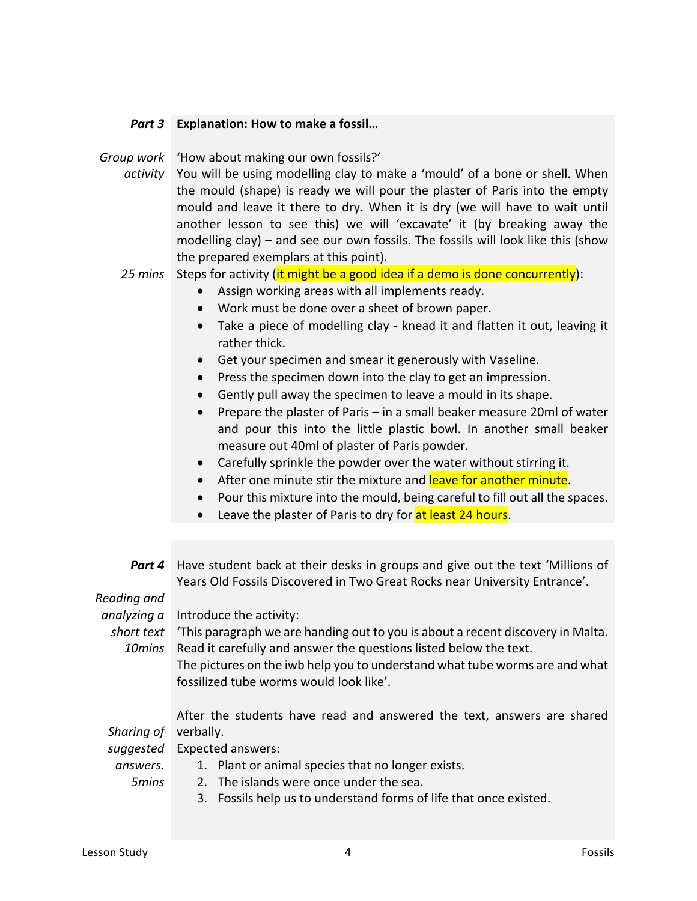| Part 3                                       | <b>Explanation: How to make a fossil</b>                                                                                                                                                                                                                                                                                                                                                                                                                                                                                                                                                                                                                                                                                                                                                                                                                                                                                                                                                                                                                                                        |
|----------------------------------------------|-------------------------------------------------------------------------------------------------------------------------------------------------------------------------------------------------------------------------------------------------------------------------------------------------------------------------------------------------------------------------------------------------------------------------------------------------------------------------------------------------------------------------------------------------------------------------------------------------------------------------------------------------------------------------------------------------------------------------------------------------------------------------------------------------------------------------------------------------------------------------------------------------------------------------------------------------------------------------------------------------------------------------------------------------------------------------------------------------|
| Group work<br>activity                       | 'How about making our own fossils?'<br>You will be using modelling clay to make a 'mould' of a bone or shell. When<br>the mould (shape) is ready we will pour the plaster of Paris into the empty<br>mould and leave it there to dry. When it is dry (we will have to wait until<br>another lesson to see this) we will 'excavate' it (by breaking away the<br>modelling clay) – and see our own fossils. The fossils will look like this (show<br>the prepared exemplars at this point).                                                                                                                                                                                                                                                                                                                                                                                                                                                                                                                                                                                                       |
| 25 mins                                      | Steps for activity (it might be a good idea if a demo is done concurrently):<br>Assign working areas with all implements ready.<br>Work must be done over a sheet of brown paper.<br>$\bullet$<br>Take a piece of modelling clay - knead it and flatten it out, leaving it<br>$\bullet$<br>rather thick.<br>Get your specimen and smear it generously with Vaseline.<br>$\bullet$<br>Press the specimen down into the clay to get an impression.<br>$\bullet$<br>Gently pull away the specimen to leave a mould in its shape.<br>$\bullet$<br>Prepare the plaster of Paris - in a small beaker measure 20ml of water<br>$\bullet$<br>and pour this into the little plastic bowl. In another small beaker<br>measure out 40ml of plaster of Paris powder.<br>Carefully sprinkle the powder over the water without stirring it.<br>$\bullet$<br>After one minute stir the mixture and leave for another minute.<br>$\bullet$<br>Pour this mixture into the mould, being careful to fill out all the spaces.<br>$\bullet$<br>Leave the plaster of Paris to dry for at least 24 hours.<br>$\bullet$ |
| Part 4                                       | Have student back at their desks in groups and give out the text 'Millions of<br>Years Old Fossils Discovered in Two Great Rocks near University Entrance'.                                                                                                                                                                                                                                                                                                                                                                                                                                                                                                                                                                                                                                                                                                                                                                                                                                                                                                                                     |
| Reading and<br>short text<br>10mins          | analyzing $a \mid$ Introduce the activity:<br>This paragraph we are handing out to you is about a recent discovery in Malta.<br>Read it carefully and answer the questions listed below the text.<br>The pictures on the iwb help you to understand what tube worms are and what<br>fossilized tube worms would look like'.                                                                                                                                                                                                                                                                                                                                                                                                                                                                                                                                                                                                                                                                                                                                                                     |
| Sharing of<br>suggested<br>answers.<br>5mins | After the students have read and answered the text, answers are shared<br>verbally.<br><b>Expected answers:</b><br>1. Plant or animal species that no longer exists.<br>The islands were once under the sea.<br>2.<br>3. Fossils help us to understand forms of life that once existed.                                                                                                                                                                                                                                                                                                                                                                                                                                                                                                                                                                                                                                                                                                                                                                                                         |